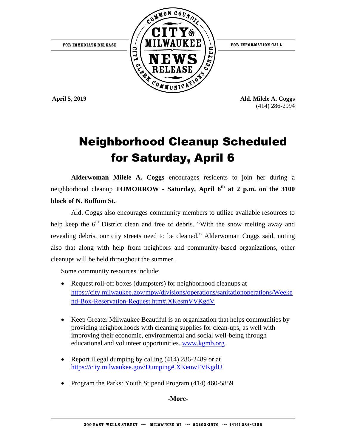

**April 5, 2019 Ald. Milele A. Coggs** (414) 286-2994

## Neighborhood Cleanup Scheduled for Saturday, April 6

**Alderwoman Milele A. Coggs** encourages residents to join her during a neighborhood cleanup **TOMORROW - Saturday, April 6th at 2 p.m. on the 3100 block of N. Buffum St.**

Ald. Coggs also encourages community members to utilize available resources to help keep the  $6<sup>th</sup>$  District clean and free of debris. "With the snow melting away and revealing debris, our city streets need to be cleaned," Alderwoman Coggs said, noting also that along with help from neighbors and community-based organizations, other cleanups will be held throughout the summer.

Some community resources include:

- Request roll-off boxes (dumpsters) for neighborhood cleanups at [https://city.milwaukee.gov/mpw/divisions/operations/sanitationoperations/Weeke](https://city.milwaukee.gov/mpw/divisions/operations/sanitationoperations/Weekend-Box-Reservation-Request.htm#.XKesmVVKgdV) [nd-Box-Reservation-Request.htm#.XKesmVVKgdV](https://city.milwaukee.gov/mpw/divisions/operations/sanitationoperations/Weekend-Box-Reservation-Request.htm#.XKesmVVKgdV)
- Keep Greater Milwaukee Beautiful is an organization that helps communities by providing neighborhoods with cleaning supplies for clean-ups, as well with improving their economic, environmental and social well-being through educational and volunteer opportunities. [www.kgmb.org](http://www.kgmb.org/)
- Report illegal dumping by calling (414) 286-2489 or at <https://city.milwaukee.gov/Dumping#.XKeuwFVKgdU>
- Program the Parks: Youth Stipend Program (414) 460-5859

**-More-**